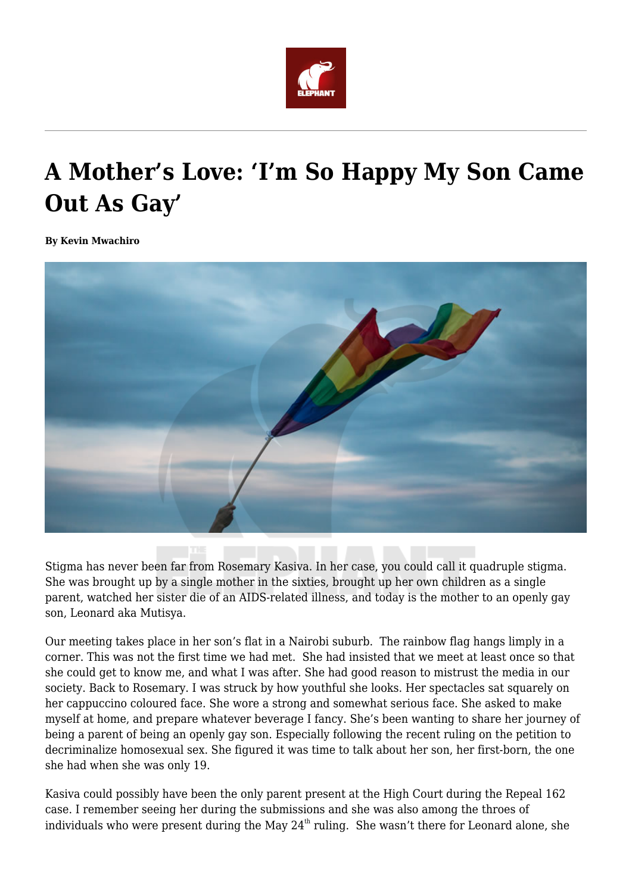

## **A Mother's Love: 'I'm So Happy My Son Came Out As Gay'**

**By Kevin Mwachiro**



Stigma has never been far from Rosemary Kasiva. In her case, you could call it quadruple stigma. She was brought up by a single mother in the sixties, brought up her own children as a single parent, watched her sister die of an AIDS-related illness, and today is the mother to an openly gay son, Leonard aka Mutisya.

Our meeting takes place in her son's flat in a Nairobi suburb. The rainbow flag hangs limply in a corner. This was not the first time we had met. She had insisted that we meet at least once so that she could get to know me, and what I was after. She had good reason to mistrust the media in our society. Back to Rosemary. I was struck by how youthful she looks. Her spectacles sat squarely on her cappuccino coloured face. She wore a strong and somewhat serious face. She asked to make myself at home, and prepare whatever beverage I fancy. She's been wanting to share her journey of being a parent of being an openly gay son. Especially following the recent ruling on the petition to decriminalize homosexual sex. She figured it was time to talk about her son, her first-born, the one she had when she was only 19.

Kasiva could possibly have been the only parent present at the High Court during the Repeal 162 case. I remember seeing her during the submissions and she was also among the throes of individuals who were present during the May  $24<sup>th</sup>$  ruling. She wasn't there for Leonard alone, she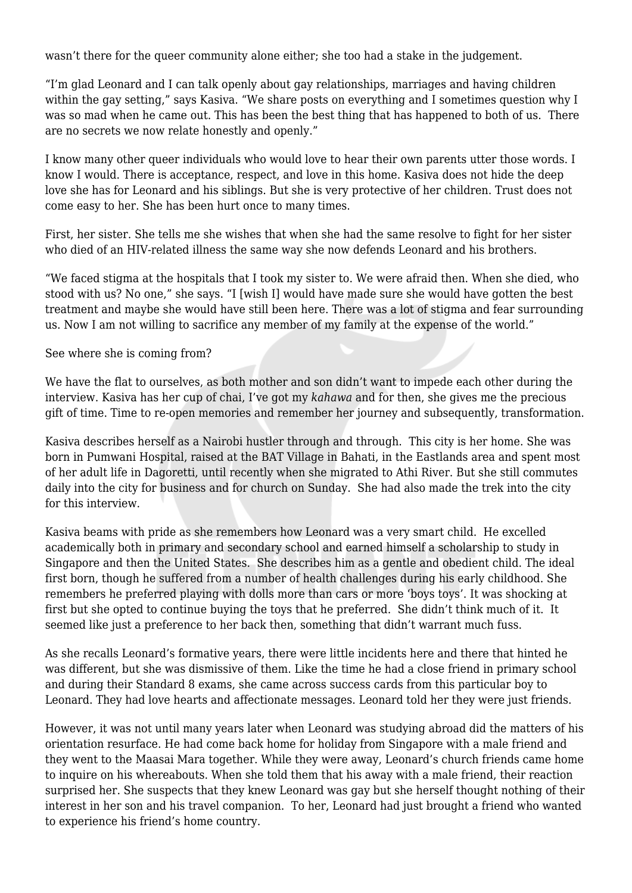wasn't there for the queer community alone either; she too had a stake in the judgement.

"I'm glad Leonard and I can talk openly about gay relationships, marriages and having children within the gay setting," says Kasiva. "We share posts on everything and I sometimes question why I was so mad when he came out. This has been the best thing that has happened to both of us. There are no secrets we now relate honestly and openly."

I know many other queer individuals who would love to hear their own parents utter those words. I know I would. There is acceptance, respect, and love in this home. Kasiva does not hide the deep love she has for Leonard and his siblings. But she is very protective of her children. Trust does not come easy to her. She has been hurt once to many times.

First, her sister. She tells me she wishes that when she had the same resolve to fight for her sister who died of an HIV-related illness the same way she now defends Leonard and his brothers.

"We faced stigma at the hospitals that I took my sister to. We were afraid then. When she died, who stood with us? No one," she says. "I [wish I] would have made sure she would have gotten the best treatment and maybe she would have still been here. There was a lot of stigma and fear surrounding us. Now I am not willing to sacrifice any member of my family at the expense of the world."

See where she is coming from?

We have the flat to ourselves, as both mother and son didn't want to impede each other during the interview. Kasiva has her cup of chai, I've got my *kahawa* and for then, she gives me the precious gift of time. Time to re-open memories and remember her journey and subsequently, transformation.

Kasiva describes herself as a Nairobi hustler through and through. This city is her home. She was born in Pumwani Hospital, raised at the BAT Village in Bahati, in the Eastlands area and spent most of her adult life in Dagoretti, until recently when she migrated to Athi River. But she still commutes daily into the city for business and for church on Sunday. She had also made the trek into the city for this interview.

Kasiva beams with pride as she remembers how Leonard was a very smart child. He excelled academically both in primary and secondary school and earned himself a scholarship to study in Singapore and then the United States. She describes him as a gentle and obedient child. The ideal first born, though he suffered from a number of health challenges during his early childhood. She remembers he preferred playing with dolls more than cars or more 'boys toys'. It was shocking at first but she opted to continue buying the toys that he preferred. She didn't think much of it. It seemed like just a preference to her back then, something that didn't warrant much fuss.

As she recalls Leonard's formative years, there were little incidents here and there that hinted he was different, but she was dismissive of them. Like the time he had a close friend in primary school and during their Standard 8 exams, she came across success cards from this particular boy to Leonard. They had love hearts and affectionate messages. Leonard told her they were just friends.

However, it was not until many years later when Leonard was studying abroad did the matters of his orientation resurface. He had come back home for holiday from Singapore with a male friend and they went to the Maasai Mara together. While they were away, Leonard's church friends came home to inquire on his whereabouts. When she told them that his away with a male friend, their reaction surprised her. She suspects that they knew Leonard was gay but she herself thought nothing of their interest in her son and his travel companion. To her, Leonard had just brought a friend who wanted to experience his friend's home country.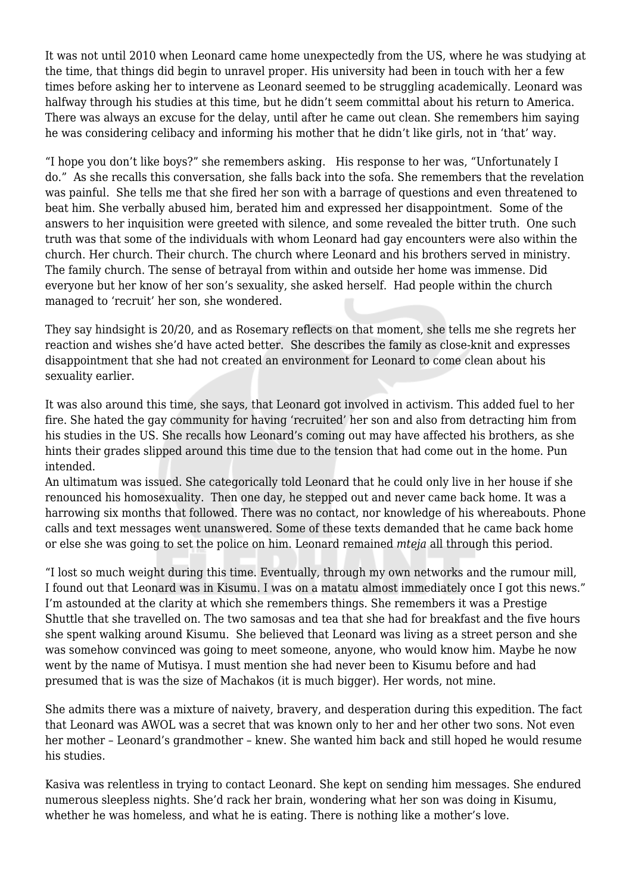It was not until 2010 when Leonard came home unexpectedly from the US, where he was studying at the time, that things did begin to unravel proper. His university had been in touch with her a few times before asking her to intervene as Leonard seemed to be struggling academically. Leonard was halfway through his studies at this time, but he didn't seem committal about his return to America. There was always an excuse for the delay, until after he came out clean. She remembers him saying he was considering celibacy and informing his mother that he didn't like girls, not in 'that' way.

"I hope you don't like boys?" she remembers asking. His response to her was, "Unfortunately I do." As she recalls this conversation, she falls back into the sofa. She remembers that the revelation was painful. She tells me that she fired her son with a barrage of questions and even threatened to beat him. She verbally abused him, berated him and expressed her disappointment. Some of the answers to her inquisition were greeted with silence, and some revealed the bitter truth. One such truth was that some of the individuals with whom Leonard had gay encounters were also within the church. Her church. Their church. The church where Leonard and his brothers served in ministry. The family church. The sense of betrayal from within and outside her home was immense. Did everyone but her know of her son's sexuality, she asked herself. Had people within the church managed to 'recruit' her son, she wondered.

They say hindsight is 20/20, and as Rosemary reflects on that moment, she tells me she regrets her reaction and wishes she'd have acted better. She describes the family as close-knit and expresses disappointment that she had not created an environment for Leonard to come clean about his sexuality earlier.

It was also around this time, she says, that Leonard got involved in activism. This added fuel to her fire. She hated the gay community for having 'recruited' her son and also from detracting him from his studies in the US. She recalls how Leonard's coming out may have affected his brothers, as she hints their grades slipped around this time due to the tension that had come out in the home. Pun intended.

An ultimatum was issued. She categorically told Leonard that he could only live in her house if she renounced his homosexuality. Then one day, he stepped out and never came back home. It was a harrowing six months that followed. There was no contact, nor knowledge of his whereabouts. Phone calls and text messages went unanswered. Some of these texts demanded that he came back home or else she was going to set the police on him. Leonard remained *mteja* all through this period.

"I lost so much weight during this time. Eventually, through my own networks and the rumour mill, I found out that Leonard was in Kisumu. I was on a matatu almost immediately once I got this news." I'm astounded at the clarity at which she remembers things. She remembers it was a Prestige Shuttle that she travelled on. The two samosas and tea that she had for breakfast and the five hours she spent walking around Kisumu. She believed that Leonard was living as a street person and she was somehow convinced was going to meet someone, anyone, who would know him. Maybe he now went by the name of Mutisya. I must mention she had never been to Kisumu before and had presumed that is was the size of Machakos (it is much bigger). Her words, not mine.

She admits there was a mixture of naivety, bravery, and desperation during this expedition. The fact that Leonard was AWOL was a secret that was known only to her and her other two sons. Not even her mother – Leonard's grandmother – knew. She wanted him back and still hoped he would resume his studies.

Kasiva was relentless in trying to contact Leonard. She kept on sending him messages. She endured numerous sleepless nights. She'd rack her brain, wondering what her son was doing in Kisumu, whether he was homeless, and what he is eating. There is nothing like a mother's love.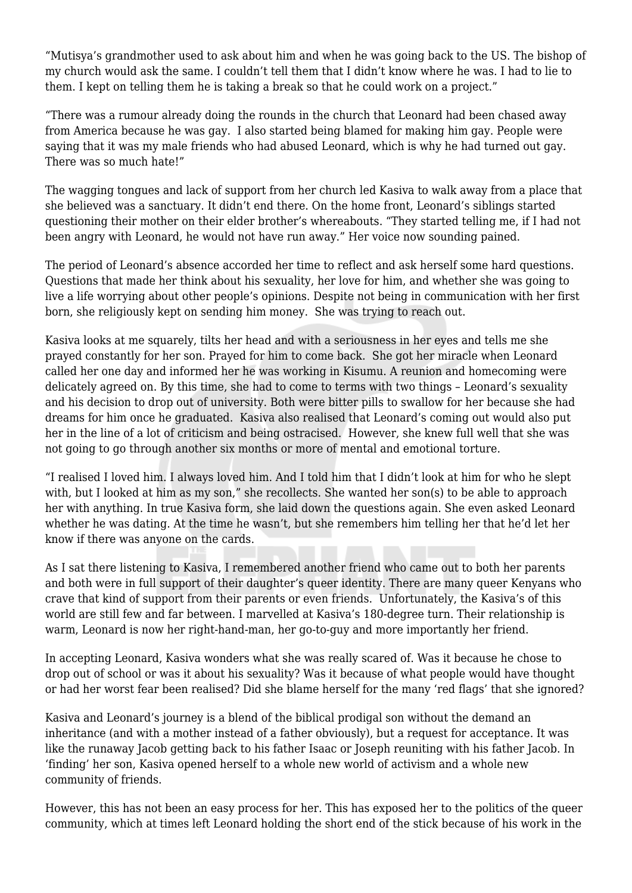"Mutisya's grandmother used to ask about him and when he was going back to the US. The bishop of my church would ask the same. I couldn't tell them that I didn't know where he was. I had to lie to them. I kept on telling them he is taking a break so that he could work on a project."

"There was a rumour already doing the rounds in the church that Leonard had been chased away from America because he was gay. I also started being blamed for making him gay. People were saying that it was my male friends who had abused Leonard, which is why he had turned out gay. There was so much hate!"

The wagging tongues and lack of support from her church led Kasiva to walk away from a place that she believed was a sanctuary. It didn't end there. On the home front, Leonard's siblings started questioning their mother on their elder brother's whereabouts. "They started telling me, if I had not been angry with Leonard, he would not have run away." Her voice now sounding pained.

The period of Leonard's absence accorded her time to reflect and ask herself some hard questions. Questions that made her think about his sexuality, her love for him, and whether she was going to live a life worrying about other people's opinions. Despite not being in communication with her first born, she religiously kept on sending him money. She was trying to reach out.

Kasiva looks at me squarely, tilts her head and with a seriousness in her eyes and tells me she prayed constantly for her son. Prayed for him to come back. She got her miracle when Leonard called her one day and informed her he was working in Kisumu. A reunion and homecoming were delicately agreed on. By this time, she had to come to terms with two things – Leonard's sexuality and his decision to drop out of university. Both were bitter pills to swallow for her because she had dreams for him once he graduated. Kasiva also realised that Leonard's coming out would also put her in the line of a lot of criticism and being ostracised. However, she knew full well that she was not going to go through another six months or more of mental and emotional torture.

"I realised I loved him. I always loved him. And I told him that I didn't look at him for who he slept with, but I looked at him as my son," she recollects. She wanted her son(s) to be able to approach her with anything. In true Kasiva form, she laid down the questions again. She even asked Leonard whether he was dating. At the time he wasn't, but she remembers him telling her that he'd let her know if there was anyone on the cards.

As I sat there listening to Kasiva, I remembered another friend who came out to both her parents and both were in full support of their daughter's queer identity. There are many queer Kenyans who crave that kind of support from their parents or even friends. Unfortunately, the Kasiva's of this world are still few and far between. I marvelled at Kasiva's 180-degree turn. Their relationship is warm, Leonard is now her right-hand-man, her go-to-guy and more importantly her friend.

In accepting Leonard, Kasiva wonders what she was really scared of. Was it because he chose to drop out of school or was it about his sexuality? Was it because of what people would have thought or had her worst fear been realised? Did she blame herself for the many 'red flags' that she ignored?

Kasiva and Leonard's journey is a blend of the biblical prodigal son without the demand an inheritance (and with a mother instead of a father obviously), but a request for acceptance. It was like the runaway Jacob getting back to his father Isaac or Joseph reuniting with his father Jacob. In 'finding' her son, Kasiva opened herself to a whole new world of activism and a whole new community of friends.

However, this has not been an easy process for her. This has exposed her to the politics of the queer community, which at times left Leonard holding the short end of the stick because of his work in the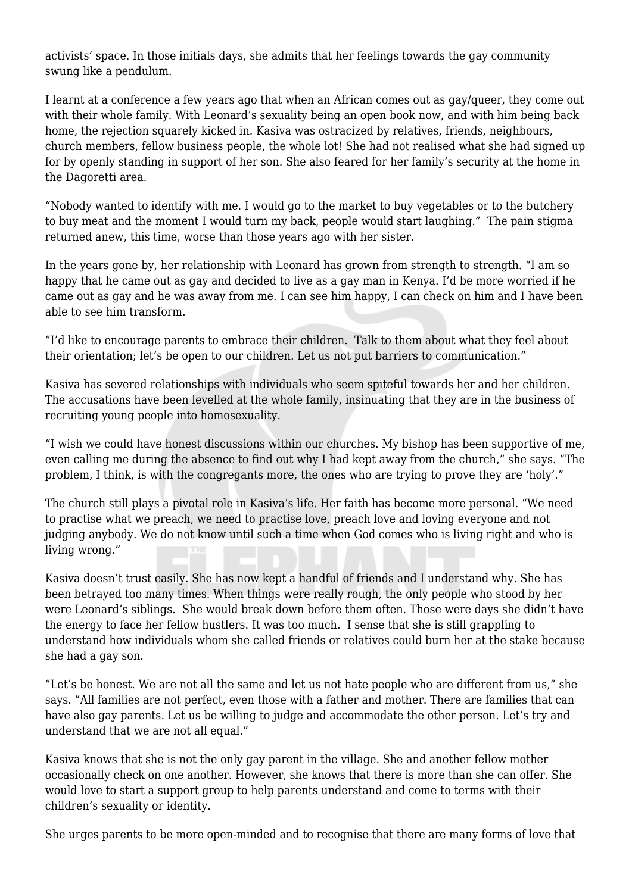activists' space. In those initials days, she admits that her feelings towards the gay community swung like a pendulum.

I learnt at a conference a few years ago that when an African comes out as gay/queer, they come out with their whole family. With Leonard's sexuality being an open book now, and with him being back home, the rejection squarely kicked in. Kasiva was ostracized by relatives, friends, neighbours, church members, fellow business people, the whole lot! She had not realised what she had signed up for by openly standing in support of her son. She also feared for her family's security at the home in the Dagoretti area.

"Nobody wanted to identify with me. I would go to the market to buy vegetables or to the butchery to buy meat and the moment I would turn my back, people would start laughing." The pain stigma returned anew, this time, worse than those years ago with her sister.

In the years gone by, her relationship with Leonard has grown from strength to strength. "I am so happy that he came out as gay and decided to live as a gay man in Kenya. I'd be more worried if he came out as gay and he was away from me. I can see him happy, I can check on him and I have been able to see him transform.

"I'd like to encourage parents to embrace their children. Talk to them about what they feel about their orientation; let's be open to our children. Let us not put barriers to communication."

Kasiva has severed relationships with individuals who seem spiteful towards her and her children. The accusations have been levelled at the whole family, insinuating that they are in the business of recruiting young people into homosexuality.

"I wish we could have honest discussions within our churches. My bishop has been supportive of me, even calling me during the absence to find out why I had kept away from the church," she says. "The problem, I think, is with the congregants more, the ones who are trying to prove they are 'holy'."

The church still plays a pivotal role in Kasiva's life. Her faith has become more personal. "We need to practise what we preach, we need to practise love, preach love and loving everyone and not judging anybody. We do not know until such a time when God comes who is living right and who is living wrong."

Kasiva doesn't trust easily. She has now kept a handful of friends and I understand why. She has been betrayed too many times. When things were really rough, the only people who stood by her were Leonard's siblings. She would break down before them often. Those were days she didn't have the energy to face her fellow hustlers. It was too much. I sense that she is still grappling to understand how individuals whom she called friends or relatives could burn her at the stake because she had a gay son.

"Let's be honest. We are not all the same and let us not hate people who are different from us," she says. "All families are not perfect, even those with a father and mother. There are families that can have also gay parents. Let us be willing to judge and accommodate the other person. Let's try and understand that we are not all equal."

Kasiva knows that she is not the only gay parent in the village. She and another fellow mother occasionally check on one another. However, she knows that there is more than she can offer. She would love to start a support group to help parents understand and come to terms with their children's sexuality or identity.

She urges parents to be more open-minded and to recognise that there are many forms of love that